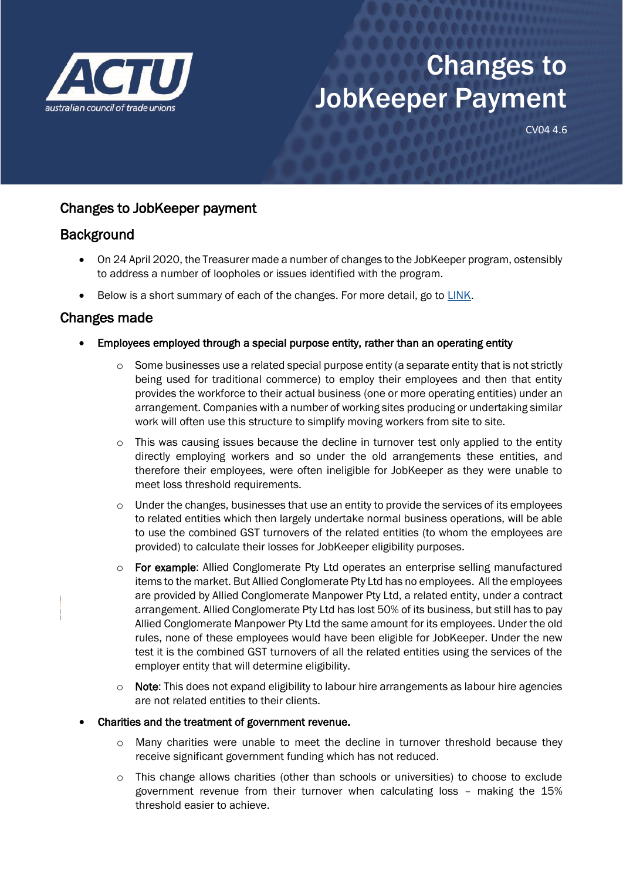

# Changes to JobKeeper Payment

CV04 4.6

## Changes to JobKeeper payment

### **Background**

- On 24 April 2020, the Treasurer made a number of changes to the JobKeeper program, ostensibly to address a number of loopholes or issues identified with the program.
- Below is a short summary of each of the changes. For more detail, go to [LINK.](https://ministers.treasury.gov.au/ministers/josh-frydenberg-2018/media-releases/jobkeeper-update)

## Changes made

- Employees employed through a special purpose entity, rather than an operating entity
	- $\circ$  Some businesses use a related special purpose entity (a separate entity that is not strictly being used for traditional commerce) to employ their employees and then that entity provides the workforce to their actual business (one or more operating entities) under an arrangement. Companies with a number of working sites producing or undertaking similar work will often use this structure to simplify moving workers from site to site.
	- $\circ$  This was causing issues because the decline in turnover test only applied to the entity directly employing workers and so under the old arrangements these entities, and therefore their employees, were often ineligible for JobKeeper as they were unable to meet loss threshold requirements.
	- o Under the changes, businesses that use an entity to provide the services of its employees to related entities which then largely undertake normal business operations, will be able to use the combined GST turnovers of the related entities (to whom the employees are provided) to calculate their losses for JobKeeper eligibility purposes.
	- o For example: Allied Conglomerate Pty Ltd operates an enterprise selling manufactured items to the market. But Allied Conglomerate Pty Ltd has no employees. All the employees are provided by Allied Conglomerate Manpower Pty Ltd, a related entity, under a contract arrangement. Allied Conglomerate Pty Ltd has lost 50% of its business, but still has to pay Allied Conglomerate Manpower Pty Ltd the same amount for its employees. Under the old rules, none of these employees would have been eligible for JobKeeper. Under the new test it is the combined GST turnovers of all the related entities using the services of the employer entity that will determine eligibility.
	- $\circ$  Note: This does not expand eligibility to labour hire arrangements as labour hire agencies are not related entities to their clients.

#### • Charities and the treatment of government revenue.

- o Many charities were unable to meet the decline in turnover threshold because they receive significant government funding which has not reduced.
- o This change allows charities (other than schools or universities) to choose to exclude government revenue from their turnover when calculating loss – making the 15% threshold easier to achieve.